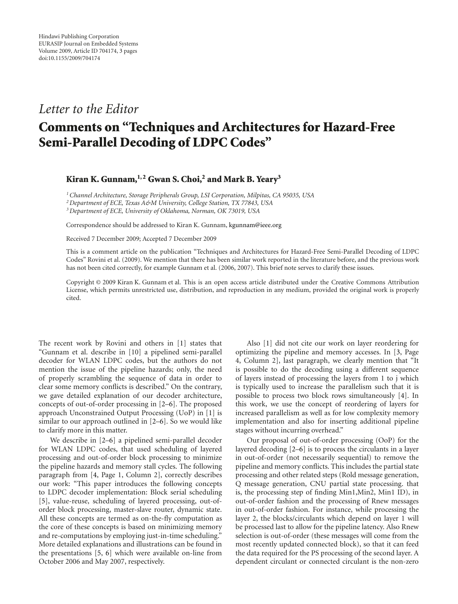## *Letter to the Editor*

## **Comments on "Techniques and Architectures for Hazard-Free Semi-Parallel Decoding of LDPC Codes"**

## **Kiran K. Gunnam,1, 2 Gwan S. Choi,2 and Mark B. Yeary3**

*1Channel Architecture, Storage Peripherals Group, LSI Corporation, Milpitas, CA 95035, USA*

*2Department of ECE, Texas A&M University, College Station, TX 77843, USA*

*3Department of ECE, University of Oklahoma, Norman, OK 73019, USA*

Correspondence should be addressed to Kiran K. Gunnam, kgunnam@ieee.org

Received 7 December 2009; Accepted 7 December 2009

This is a comment article on the publication "Techniques and Architectures for Hazard-Free Semi-Parallel Decoding of LDPC Codes" Rovini et al. (2009). We mention that there has been similar work reported in the literature before, and the previous work has not been cited correctly, for example Gunnam et al. (2006, 2007). This brief note serves to clarify these issues.

Copyright © 2009 Kiran K. Gunnam et al. This is an open access article distributed under the Creative Commons Attribution License, which permits unrestricted use, distribution, and reproduction in any medium, provided the original work is properly cited.

The recent work by Rovini and others in [1] states that "Gunnam et al. describe in [10] a pipelined semi-parallel decoder for WLAN LDPC codes, but the authors do not mention the issue of the pipeline hazards; only, the need of properly scrambling the sequence of data in order to clear some memory conflicts is described." On the contrary, we gave detailed explanation of our decoder architecture, concepts of out-of-order processing in [2–6]. The proposed approach Unconstrained Output Processing (UoP) in [1] is similar to our approach outlined in [2–6]. So we would like to clarify more in this matter.

We describe in [2–6] a pipelined semi-parallel decoder for WLAN LDPC codes, that used scheduling of layered processing and out-of-order block processing to minimize the pipeline hazards and memory stall cycles. The following paragraph from [4, Page 1, Column 2], correctly describes our work: "This paper introduces the following concepts to LDPC decoder implementation: Block serial scheduling [5], value-reuse, scheduling of layered processing, out-oforder block processing, master-slave router, dynamic state. All these concepts are termed as on-the-fly computation as the core of these concepts is based on minimizing memory and re-computations by employing just-in-time scheduling." More detailed explanations and illustrations can be found in the presentations [5, 6] which were available on-line from October 2006 and May 2007, respectively.

Also [1] did not cite our work on layer reordering for optimizing the pipeline and memory accesses. In [3, Page 4, Column 2], last paragraph, we clearly mention that "It is possible to do the decoding using a different sequence of layers instead of processing the layers from 1 to j which is typically used to increase the parallelism such that it is possible to process two block rows simultaneously [4]. In this work, we use the concept of reordering of layers for increased parallelism as well as for low complexity memory implementation and also for inserting additional pipeline stages without incurring overhead."

Our proposal of out-of-order processing (OoP) for the layered decoding [2–6] is to process the circulants in a layer in out-of-order (not necessarily sequential) to remove the pipeline and memory conflicts. This includes the partial state processing and other related steps (Rold message generation, Q message generation, CNU partial state processing. that is, the processing step of finding Min1,Min2, Min1 ID), in out-of-order fashion and the processing of Rnew messages in out-of-order fashion. For instance, while processing the layer 2, the blocks/circulants which depend on layer 1 will be processed last to allow for the pipeline latency. Also Rnew selection is out-of-order (these messages will come from the most recently updated connected block), so that it can feed the data required for the PS processing of the second layer. A dependent circulant or connected circulant is the non-zero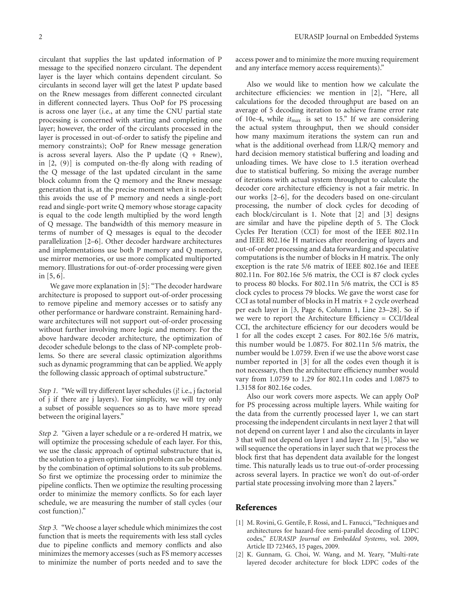circulant that supplies the last updated information of P message to the specified nonzero circulant. The dependent layer is the layer which contains dependent circulant. So circulants in second layer will get the latest P update based on the Rnew messages from different connected circulant in different connected layers. Thus OoP for PS processing is across one layer (i.e., at any time the CNU partial state processing is concerned with starting and completing one layer; however, the order of the circulants processed in the layer is processed in out-of-order to satisfy the pipeline and memory constraints); OoP for Rnew message generation is across several layers. Also the P update  $(Q + Rnew)$ , in [2, (9)] is computed on-the-fly along with reading of the Q message of the last updated circulant in the same block column from the Q memory and the Rnew message generation that is, at the precise moment when it is needed; this avoids the use of P memory and needs a single-port read and single-port write Q memory whose storage capacity is equal to the code length multiplied by the word length of Q message. The bandwidth of this memory measure in terms of number of Q messages is equal to the decoder parallelization [2–6]. Other decoder hardware architectures and implementations use both P memory and Q memory, use mirror memories, or use more complicated multiported memory. Illustrations for out-of-order processing were given in [5, 6].

We gave more explanation in [5]: "The decoder hardware architecture is proposed to support out-of-order processing to remove pipeline and memory accesses or to satisfy any other performance or hardware constraint. Remaining hardware architectures will not support out-of-order processing without further involving more logic and memory. For the above hardware decoder architecture, the optimization of decoder schedule belongs to the class of NP-complete problems. So there are several classic optimization algorithms such as dynamic programming that can be applied. We apply the following classic approach of optimal substructure."

*Step 1.* "We will try different layer schedules (j! i.e., j factorial of j if there are j layers). For simplicity, we will try only a subset of possible sequences so as to have more spread between the original layers."

*Step 2.* "Given a layer schedule or a re-ordered H matrix, we will optimize the processing schedule of each layer. For this, we use the classic approach of optimal substructure that is, the solution to a given optimization problem can be obtained by the combination of optimal solutions to its sub problems. So first we optimize the processing order to minimize the pipeline conflicts. Then we optimize the resulting processing order to minimize the memory conflicts. So for each layer schedule, we are measuring the number of stall cycles (our cost function)."

*Step 3.* "We choose a layer schedule which minimizes the cost function that is meets the requirements with less stall cycles due to pipeline conflicts and memory conflicts and also minimizes the memory accesses (such as FS memory accesses to minimize the number of ports needed and to save the access power and to minimize the more muxing requirement and any interface memory access requirements)."

Also we would like to mention how we calculate the architecture efficiencies: we mention in [2], "Here, all calculations for the decoded throughput are based on an average of 5 decoding iteration to achieve frame error rate of 10e-4, while *it*max is set to 15." If we are considering the actual system throughput, then we should consider how many maximum iterations the system can run and what is the additional overhead from LLR/Q memory and hard decision memory statistical buffering and loading and unloading times. We have close to 1.5 iteration overhead due to statistical buffering. So mixing the average number of iterations with actual system throughput to calculate the decoder core architecture efficiency is not a fair metric. In our works [2–6], for the decoders based on one-circulant processing, the number of clock cycles for decoding of each block/circulant is 1. Note that [2] and [3] designs are similar and have the pipeline depth of 5. The Clock Cycles Per Iteration (CCI) for most of the IEEE 802.11n and IEEE 802.16e H matrices after reordering of layers and out-of-order processing and data forwarding and speculative computations is the number of blocks in H matrix. The only exception is the rate 5/6 matrix of IEEE 802.16e and IEEE 802.11n. For 802.16e 5/6 matrix, the CCI is 87 clock cycles to process 80 blocks. For 802.11n 5/6 matrix, the CCI is 85 clock cycles to process 79 blocks. We gave the worst case for CCI as total number of blocks in H matrix + 2 cycle overhead per each layer in [3, Page 6, Column 1, Line 23–28]. So if we were to report the Architecture Efficiency = CCI/Ideal CCI, the architecture efficiency for our decoders would be 1 for all the codes except 2 cases. For 802.16e 5/6 matrix, this number would be 1.0875. For 802.11n 5/6 matrix, the number would be 1.0759. Even if we use the above worst case number reported in [3] for all the codes even though it is not necessary, then the architecture efficiency number would vary from 1.0759 to 1.29 for 802.11n codes and 1.0875 to 1.3158 for 802.16e codes.

Also our work covers more aspects. We can apply OoP for PS processing across multiple layers. While waiting for the data from the currently processed layer 1, we can start processing the independent circulants in next layer 2 that will not depend on current layer 1 and also the circulants in layer 3 that will not depend on layer 1 and layer 2. In [5], "also we will sequence the operations in layer such that we process the block first that has dependent data available for the longest time. This naturally leads us to true out-of-order processing across several layers. In practice we won't do out-of-order partial state processing involving more than 2 layers."

## **References**

- [1] M. Rovini, G. Gentile, F. Rossi, and L. Fanucci, "Techniques and architectures for hazard-free semi-parallel decoding of LDPC codes," *EURASIP Journal on Embedded Systems*, vol. 2009, Article ID 723465, 15 pages, 2009.
- [2] K. Gunnam, G. Choi, W. Wang, and M. Yeary, "Multi-rate layered decoder architecture for block LDPC codes of the